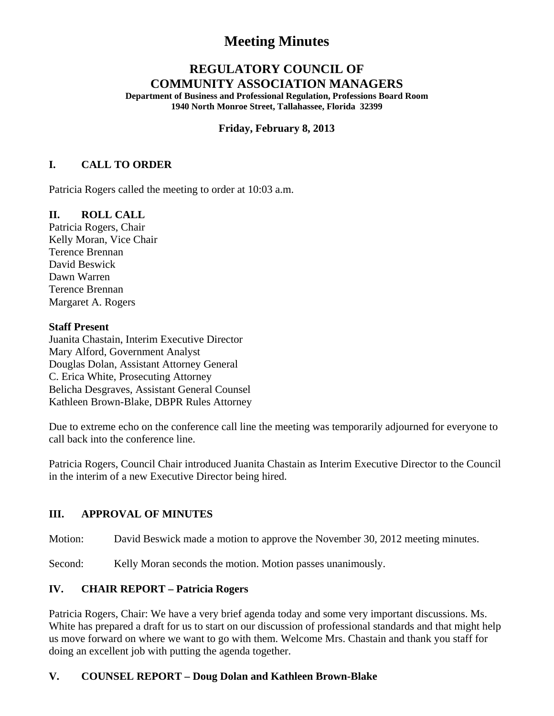# **Meeting Minutes**

# **REGULATORY COUNCIL OF COMMUNITY ASSOCIATION MANAGERS**

**Department of Business and Professional Regulation, Professions Board Room 1940 North Monroe Street, Tallahassee, Florida 32399** 

#### **Friday, February 8, 2013**

## **I. CALL TO ORDER**

Patricia Rogers called the meeting to order at 10:03 a.m.

## **II. ROLL CALL**

Patricia Rogers, Chair Kelly Moran, Vice Chair Terence Brennan David Beswick Dawn Warren Terence Brennan Margaret A. Rogers

#### **Staff Present**

Juanita Chastain, Interim Executive Director Mary Alford, Government Analyst Douglas Dolan, Assistant Attorney General C. Erica White, Prosecuting Attorney Belicha Desgraves, Assistant General Counsel Kathleen Brown-Blake, DBPR Rules Attorney

Due to extreme echo on the conference call line the meeting was temporarily adjourned for everyone to call back into the conference line.

Patricia Rogers, Council Chair introduced Juanita Chastain as Interim Executive Director to the Council in the interim of a new Executive Director being hired.

## **III. APPROVAL OF MINUTES**

Motion: David Beswick made a motion to approve the November 30, 2012 meeting minutes.

Second: Kelly Moran seconds the motion. Motion passes unanimously.

## **IV. CHAIR REPORT – Patricia Rogers**

Patricia Rogers, Chair: We have a very brief agenda today and some very important discussions. Ms. White has prepared a draft for us to start on our discussion of professional standards and that might help us move forward on where we want to go with them. Welcome Mrs. Chastain and thank you staff for doing an excellent job with putting the agenda together.

## **V. COUNSEL REPORT – Doug Dolan and Kathleen Brown-Blake**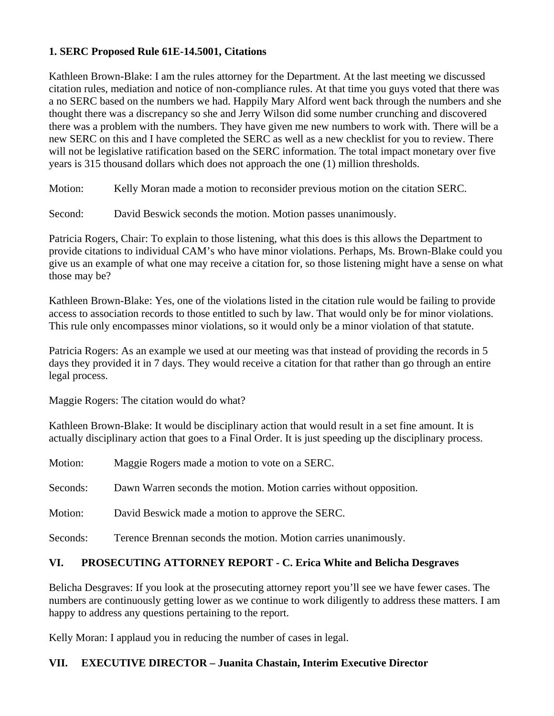## **1. SERC Proposed Rule 61E-14.5001, Citations**

Kathleen Brown-Blake: I am the rules attorney for the Department. At the last meeting we discussed citation rules, mediation and notice of non-compliance rules. At that time you guys voted that there was a no SERC based on the numbers we had. Happily Mary Alford went back through the numbers and she thought there was a discrepancy so she and Jerry Wilson did some number crunching and discovered there was a problem with the numbers. They have given me new numbers to work with. There will be a new SERC on this and I have completed the SERC as well as a new checklist for you to review. There will not be legislative ratification based on the SERC information. The total impact monetary over five years is 315 thousand dollars which does not approach the one (1) million thresholds.

Motion: Kelly Moran made a motion to reconsider previous motion on the citation SERC.

Second: David Beswick seconds the motion. Motion passes unanimously.

Patricia Rogers, Chair: To explain to those listening, what this does is this allows the Department to provide citations to individual CAM's who have minor violations. Perhaps, Ms. Brown-Blake could you give us an example of what one may receive a citation for, so those listening might have a sense on what those may be?

Kathleen Brown-Blake: Yes, one of the violations listed in the citation rule would be failing to provide access to association records to those entitled to such by law. That would only be for minor violations. This rule only encompasses minor violations, so it would only be a minor violation of that statute.

Patricia Rogers: As an example we used at our meeting was that instead of providing the records in 5 days they provided it in 7 days. They would receive a citation for that rather than go through an entire legal process.

Maggie Rogers: The citation would do what?

Kathleen Brown-Blake: It would be disciplinary action that would result in a set fine amount. It is actually disciplinary action that goes to a Final Order. It is just speeding up the disciplinary process.

| Motion:  | Maggie Rogers made a motion to vote on a SERC.                     |
|----------|--------------------------------------------------------------------|
| Seconds: | Dawn Warren seconds the motion. Motion carries without opposition. |
| Motion:  | David Beswick made a motion to approve the SERC.                   |
| Seconds: | Terence Brennan seconds the motion. Motion carries unanimously.    |

## **VI. PROSECUTING ATTORNEY REPORT - C. Erica White and Belicha Desgraves**

Belicha Desgraves: If you look at the prosecuting attorney report you'll see we have fewer cases. The numbers are continuously getting lower as we continue to work diligently to address these matters. I am happy to address any questions pertaining to the report.

Kelly Moran: I applaud you in reducing the number of cases in legal.

## **VII. EXECUTIVE DIRECTOR – Juanita Chastain, Interim Executive Director**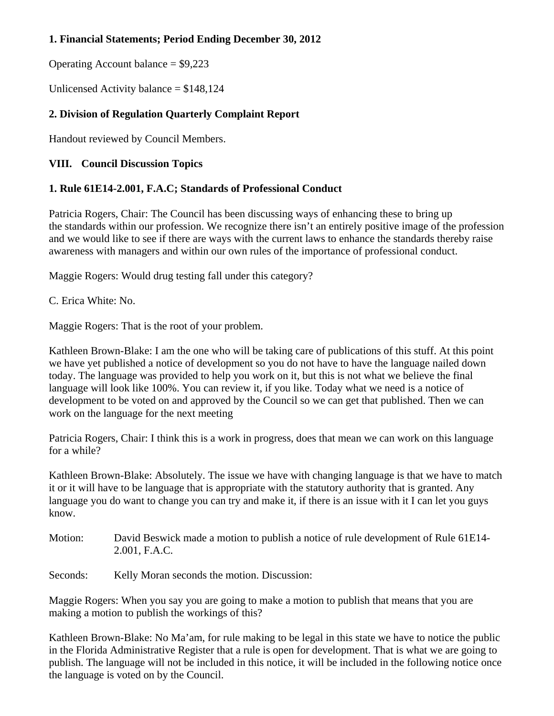# **1. Financial Statements; Period Ending December 30, 2012**

Operating Account balance  $=$  \$9,223

Unlicensed Activity balance = \$148,124

# **2. Division of Regulation Quarterly Complaint Report**

Handout reviewed by Council Members.

## **VIII. Council Discussion Topics**

# **1. Rule 61E14-2.001, F.A.C; Standards of Professional Conduct**

Patricia Rogers, Chair: The Council has been discussing ways of enhancing these to bring up the standards within our profession. We recognize there isn't an entirely positive image of the profession and we would like to see if there are ways with the current laws to enhance the standards thereby raise awareness with managers and within our own rules of the importance of professional conduct.

Maggie Rogers: Would drug testing fall under this category?

C. Erica White: No.

Maggie Rogers: That is the root of your problem.

Kathleen Brown-Blake: I am the one who will be taking care of publications of this stuff. At this point we have yet published a notice of development so you do not have to have the language nailed down today. The language was provided to help you work on it, but this is not what we believe the final language will look like 100%. You can review it, if you like. Today what we need is a notice of development to be voted on and approved by the Council so we can get that published. Then we can work on the language for the next meeting

Patricia Rogers, Chair: I think this is a work in progress, does that mean we can work on this language for a while?

Kathleen Brown-Blake: Absolutely. The issue we have with changing language is that we have to match it or it will have to be language that is appropriate with the statutory authority that is granted. Any language you do want to change you can try and make it, if there is an issue with it I can let you guys know.

Motion: David Beswick made a motion to publish a notice of rule development of Rule 61E14- 2.001, F.A.C.

Seconds: Kelly Moran seconds the motion. Discussion:

Maggie Rogers: When you say you are going to make a motion to publish that means that you are making a motion to publish the workings of this?

Kathleen Brown-Blake: No Ma'am, for rule making to be legal in this state we have to notice the public in the Florida Administrative Register that a rule is open for development. That is what we are going to publish. The language will not be included in this notice, it will be included in the following notice once the language is voted on by the Council.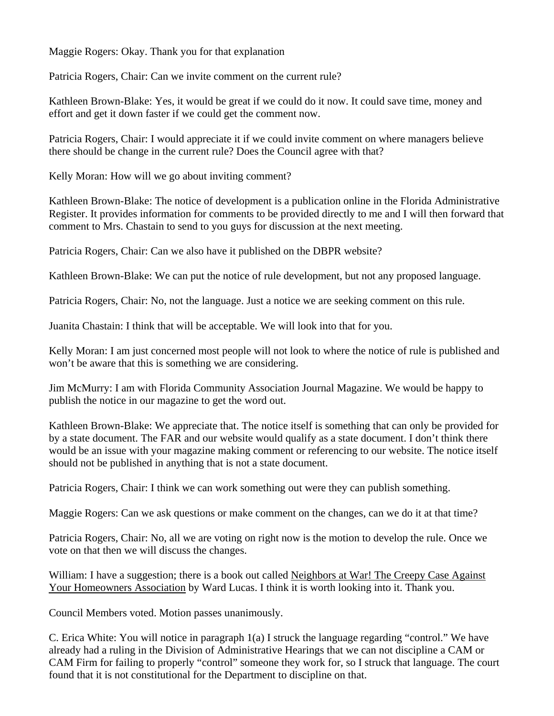Maggie Rogers: Okay. Thank you for that explanation

Patricia Rogers, Chair: Can we invite comment on the current rule?

Kathleen Brown-Blake: Yes, it would be great if we could do it now. It could save time, money and effort and get it down faster if we could get the comment now.

Patricia Rogers, Chair: I would appreciate it if we could invite comment on where managers believe there should be change in the current rule? Does the Council agree with that?

Kelly Moran: How will we go about inviting comment?

Kathleen Brown-Blake: The notice of development is a publication online in the Florida Administrative Register. It provides information for comments to be provided directly to me and I will then forward that comment to Mrs. Chastain to send to you guys for discussion at the next meeting.

Patricia Rogers, Chair: Can we also have it published on the DBPR website?

Kathleen Brown-Blake: We can put the notice of rule development, but not any proposed language.

Patricia Rogers, Chair: No, not the language. Just a notice we are seeking comment on this rule.

Juanita Chastain: I think that will be acceptable. We will look into that for you.

Kelly Moran: I am just concerned most people will not look to where the notice of rule is published and won't be aware that this is something we are considering.

Jim McMurry: I am with Florida Community Association Journal Magazine. We would be happy to publish the notice in our magazine to get the word out.

Kathleen Brown-Blake: We appreciate that. The notice itself is something that can only be provided for by a state document. The FAR and our website would qualify as a state document. I don't think there would be an issue with your magazine making comment or referencing to our website. The notice itself should not be published in anything that is not a state document.

Patricia Rogers, Chair: I think we can work something out were they can publish something.

Maggie Rogers: Can we ask questions or make comment on the changes, can we do it at that time?

Patricia Rogers, Chair: No, all we are voting on right now is the motion to develop the rule. Once we vote on that then we will discuss the changes.

William: I have a suggestion; there is a book out called Neighbors at War! The Creepy Case Against Your Homeowners Association by Ward Lucas. I think it is worth looking into it. Thank you.

Council Members voted. Motion passes unanimously.

C. Erica White: You will notice in paragraph 1(a) I struck the language regarding "control." We have already had a ruling in the Division of Administrative Hearings that we can not discipline a CAM or CAM Firm for failing to properly "control" someone they work for, so I struck that language. The court found that it is not constitutional for the Department to discipline on that.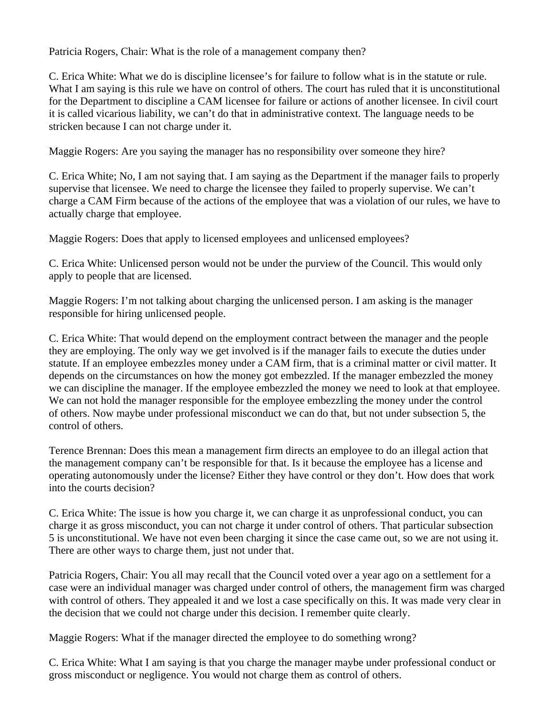Patricia Rogers, Chair: What is the role of a management company then?

C. Erica White: What we do is discipline licensee's for failure to follow what is in the statute or rule. What I am saying is this rule we have on control of others. The court has ruled that it is unconstitutional for the Department to discipline a CAM licensee for failure or actions of another licensee. In civil court it is called vicarious liability, we can't do that in administrative context. The language needs to be stricken because I can not charge under it.

Maggie Rogers: Are you saying the manager has no responsibility over someone they hire?

C. Erica White; No, I am not saying that. I am saying as the Department if the manager fails to properly supervise that licensee. We need to charge the licensee they failed to properly supervise. We can't charge a CAM Firm because of the actions of the employee that was a violation of our rules, we have to actually charge that employee.

Maggie Rogers: Does that apply to licensed employees and unlicensed employees?

C. Erica White: Unlicensed person would not be under the purview of the Council. This would only apply to people that are licensed.

Maggie Rogers: I'm not talking about charging the unlicensed person. I am asking is the manager responsible for hiring unlicensed people.

C. Erica White: That would depend on the employment contract between the manager and the people they are employing. The only way we get involved is if the manager fails to execute the duties under statute. If an employee embezzles money under a CAM firm, that is a criminal matter or civil matter. It depends on the circumstances on how the money got embezzled. If the manager embezzled the money we can discipline the manager. If the employee embezzled the money we need to look at that employee. We can not hold the manager responsible for the employee embezzling the money under the control of others. Now maybe under professional misconduct we can do that, but not under subsection 5, the control of others.

Terence Brennan: Does this mean a management firm directs an employee to do an illegal action that the management company can't be responsible for that. Is it because the employee has a license and operating autonomously under the license? Either they have control or they don't. How does that work into the courts decision?

C. Erica White: The issue is how you charge it, we can charge it as unprofessional conduct, you can charge it as gross misconduct, you can not charge it under control of others. That particular subsection 5 is unconstitutional. We have not even been charging it since the case came out, so we are not using it. There are other ways to charge them, just not under that.

Patricia Rogers, Chair: You all may recall that the Council voted over a year ago on a settlement for a case were an individual manager was charged under control of others, the management firm was charged with control of others. They appealed it and we lost a case specifically on this. It was made very clear in the decision that we could not charge under this decision. I remember quite clearly.

Maggie Rogers: What if the manager directed the employee to do something wrong?

C. Erica White: What I am saying is that you charge the manager maybe under professional conduct or gross misconduct or negligence. You would not charge them as control of others.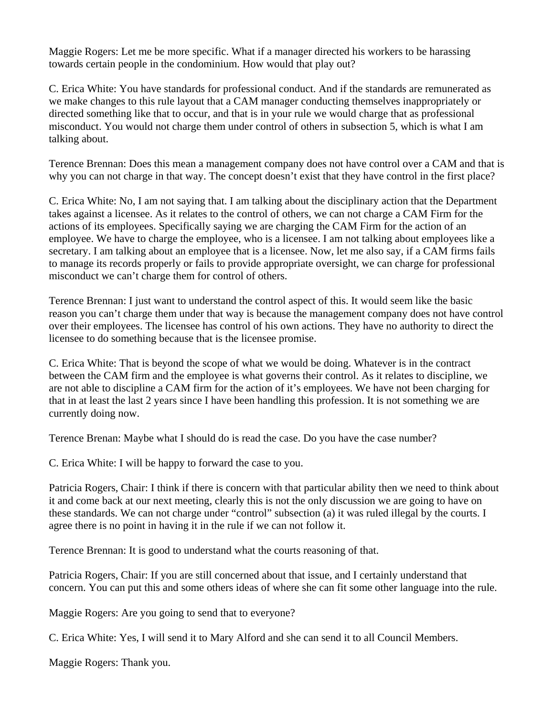Maggie Rogers: Let me be more specific. What if a manager directed his workers to be harassing towards certain people in the condominium. How would that play out?

C. Erica White: You have standards for professional conduct. And if the standards are remunerated as we make changes to this rule layout that a CAM manager conducting themselves inappropriately or directed something like that to occur, and that is in your rule we would charge that as professional misconduct. You would not charge them under control of others in subsection 5, which is what I am talking about.

Terence Brennan: Does this mean a management company does not have control over a CAM and that is why you can not charge in that way. The concept doesn't exist that they have control in the first place?

C. Erica White: No, I am not saying that. I am talking about the disciplinary action that the Department takes against a licensee. As it relates to the control of others, we can not charge a CAM Firm for the actions of its employees. Specifically saying we are charging the CAM Firm for the action of an employee. We have to charge the employee, who is a licensee. I am not talking about employees like a secretary. I am talking about an employee that is a licensee. Now, let me also say, if a CAM firms fails to manage its records properly or fails to provide appropriate oversight, we can charge for professional misconduct we can't charge them for control of others.

Terence Brennan: I just want to understand the control aspect of this. It would seem like the basic reason you can't charge them under that way is because the management company does not have control over their employees. The licensee has control of his own actions. They have no authority to direct the licensee to do something because that is the licensee promise.

C. Erica White: That is beyond the scope of what we would be doing. Whatever is in the contract between the CAM firm and the employee is what governs their control. As it relates to discipline, we are not able to discipline a CAM firm for the action of it's employees. We have not been charging for that in at least the last 2 years since I have been handling this profession. It is not something we are currently doing now.

Terence Brenan: Maybe what I should do is read the case. Do you have the case number?

C. Erica White: I will be happy to forward the case to you.

Patricia Rogers, Chair: I think if there is concern with that particular ability then we need to think about it and come back at our next meeting, clearly this is not the only discussion we are going to have on these standards. We can not charge under "control" subsection (a) it was ruled illegal by the courts. I agree there is no point in having it in the rule if we can not follow it.

Terence Brennan: It is good to understand what the courts reasoning of that.

Patricia Rogers, Chair: If you are still concerned about that issue, and I certainly understand that concern. You can put this and some others ideas of where she can fit some other language into the rule.

Maggie Rogers: Are you going to send that to everyone?

C. Erica White: Yes, I will send it to Mary Alford and she can send it to all Council Members.

Maggie Rogers: Thank you.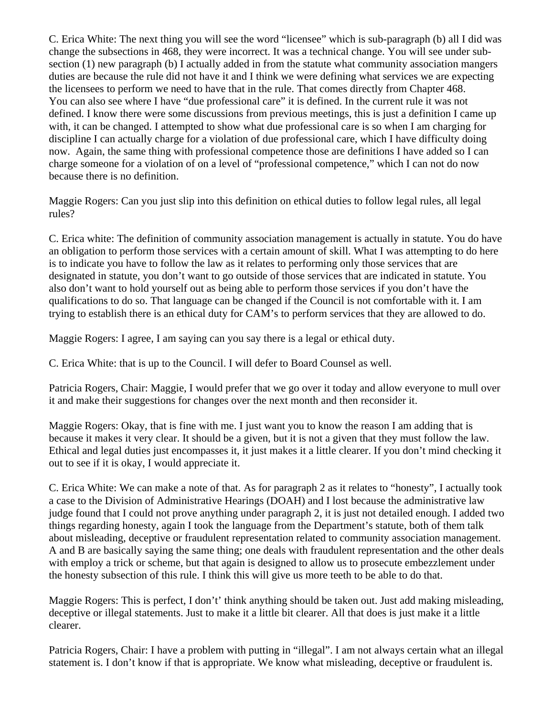C. Erica White: The next thing you will see the word "licensee" which is sub-paragraph (b) all I did was change the subsections in 468, they were incorrect. It was a technical change. You will see under subsection (1) new paragraph (b) I actually added in from the statute what community association mangers duties are because the rule did not have it and I think we were defining what services we are expecting the licensees to perform we need to have that in the rule. That comes directly from Chapter 468. You can also see where I have "due professional care" it is defined. In the current rule it was not defined. I know there were some discussions from previous meetings, this is just a definition I came up with, it can be changed. I attempted to show what due professional care is so when I am charging for discipline I can actually charge for a violation of due professional care, which I have difficulty doing now. Again, the same thing with professional competence those are definitions I have added so I can charge someone for a violation of on a level of "professional competence," which I can not do now because there is no definition.

Maggie Rogers: Can you just slip into this definition on ethical duties to follow legal rules, all legal rules?

C. Erica white: The definition of community association management is actually in statute. You do have an obligation to perform those services with a certain amount of skill. What I was attempting to do here is to indicate you have to follow the law as it relates to performing only those services that are designated in statute, you don't want to go outside of those services that are indicated in statute. You also don't want to hold yourself out as being able to perform those services if you don't have the qualifications to do so. That language can be changed if the Council is not comfortable with it. I am trying to establish there is an ethical duty for CAM's to perform services that they are allowed to do.

Maggie Rogers: I agree, I am saying can you say there is a legal or ethical duty.

C. Erica White: that is up to the Council. I will defer to Board Counsel as well.

Patricia Rogers, Chair: Maggie, I would prefer that we go over it today and allow everyone to mull over it and make their suggestions for changes over the next month and then reconsider it.

Maggie Rogers: Okay, that is fine with me. I just want you to know the reason I am adding that is because it makes it very clear. It should be a given, but it is not a given that they must follow the law. Ethical and legal duties just encompasses it, it just makes it a little clearer. If you don't mind checking it out to see if it is okay, I would appreciate it.

C. Erica White: We can make a note of that. As for paragraph 2 as it relates to "honesty", I actually took a case to the Division of Administrative Hearings (DOAH) and I lost because the administrative law judge found that I could not prove anything under paragraph 2, it is just not detailed enough. I added two things regarding honesty, again I took the language from the Department's statute, both of them talk about misleading, deceptive or fraudulent representation related to community association management. A and B are basically saying the same thing; one deals with fraudulent representation and the other deals with employ a trick or scheme, but that again is designed to allow us to prosecute embezzlement under the honesty subsection of this rule. I think this will give us more teeth to be able to do that.

Maggie Rogers: This is perfect, I don't' think anything should be taken out. Just add making misleading, deceptive or illegal statements. Just to make it a little bit clearer. All that does is just make it a little clearer.

Patricia Rogers, Chair: I have a problem with putting in "illegal". I am not always certain what an illegal statement is. I don't know if that is appropriate. We know what misleading, deceptive or fraudulent is.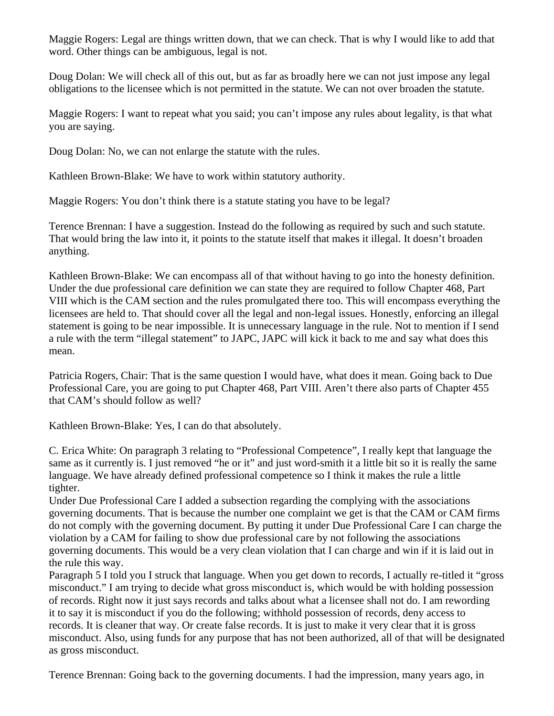Maggie Rogers: Legal are things written down, that we can check. That is why I would like to add that word. Other things can be ambiguous, legal is not.

Doug Dolan: We will check all of this out, but as far as broadly here we can not just impose any legal obligations to the licensee which is not permitted in the statute. We can not over broaden the statute.

Maggie Rogers: I want to repeat what you said; you can't impose any rules about legality, is that what you are saying.

Doug Dolan: No, we can not enlarge the statute with the rules.

Kathleen Brown-Blake: We have to work within statutory authority.

Maggie Rogers: You don't think there is a statute stating you have to be legal?

Terence Brennan: I have a suggestion. Instead do the following as required by such and such statute. That would bring the law into it, it points to the statute itself that makes it illegal. It doesn't broaden anything.

Kathleen Brown-Blake: We can encompass all of that without having to go into the honesty definition. Under the due professional care definition we can state they are required to follow Chapter 468, Part VIII which is the CAM section and the rules promulgated there too. This will encompass everything the licensees are held to. That should cover all the legal and non-legal issues. Honestly, enforcing an illegal statement is going to be near impossible. It is unnecessary language in the rule. Not to mention if I send a rule with the term "illegal statement" to JAPC, JAPC will kick it back to me and say what does this mean.

Patricia Rogers, Chair: That is the same question I would have, what does it mean. Going back to Due Professional Care, you are going to put Chapter 468, Part VIII. Aren't there also parts of Chapter 455 that CAM's should follow as well?

Kathleen Brown-Blake: Yes, I can do that absolutely.

C. Erica White: On paragraph 3 relating to "Professional Competence", I really kept that language the same as it currently is. I just removed "he or it" and just word-smith it a little bit so it is really the same language. We have already defined professional competence so I think it makes the rule a little tighter.

Under Due Professional Care I added a subsection regarding the complying with the associations governing documents. That is because the number one complaint we get is that the CAM or CAM firms do not comply with the governing document. By putting it under Due Professional Care I can charge the violation by a CAM for failing to show due professional care by not following the associations governing documents. This would be a very clean violation that I can charge and win if it is laid out in the rule this way.

Paragraph 5 I told you I struck that language. When you get down to records, I actually re-titled it "gross misconduct." I am trying to decide what gross misconduct is, which would be with holding possession of records. Right now it just says records and talks about what a licensee shall not do. I am rewording it to say it is misconduct if you do the following; withhold possession of records, deny access to records. It is cleaner that way. Or create false records. It is just to make it very clear that it is gross misconduct. Also, using funds for any purpose that has not been authorized, all of that will be designated as gross misconduct.

Terence Brennan: Going back to the governing documents. I had the impression, many years ago, in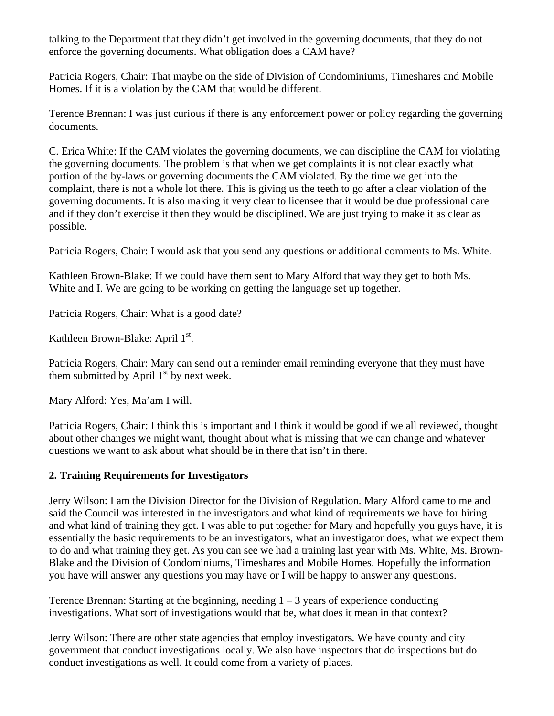talking to the Department that they didn't get involved in the governing documents, that they do not enforce the governing documents. What obligation does a CAM have?

Patricia Rogers, Chair: That maybe on the side of Division of Condominiums, Timeshares and Mobile Homes. If it is a violation by the CAM that would be different.

Terence Brennan: I was just curious if there is any enforcement power or policy regarding the governing documents.

C. Erica White: If the CAM violates the governing documents, we can discipline the CAM for violating the governing documents. The problem is that when we get complaints it is not clear exactly what portion of the by-laws or governing documents the CAM violated. By the time we get into the complaint, there is not a whole lot there. This is giving us the teeth to go after a clear violation of the governing documents. It is also making it very clear to licensee that it would be due professional care and if they don't exercise it then they would be disciplined. We are just trying to make it as clear as possible.

Patricia Rogers, Chair: I would ask that you send any questions or additional comments to Ms. White.

Kathleen Brown-Blake: If we could have them sent to Mary Alford that way they get to both Ms. White and I. We are going to be working on getting the language set up together.

Patricia Rogers, Chair: What is a good date?

Kathleen Brown-Blake: April 1<sup>st</sup>.

Patricia Rogers, Chair: Mary can send out a reminder email reminding everyone that they must have them submitted by April  $1<sup>st</sup>$  by next week.

Mary Alford: Yes, Ma'am I will.

Patricia Rogers, Chair: I think this is important and I think it would be good if we all reviewed, thought about other changes we might want, thought about what is missing that we can change and whatever questions we want to ask about what should be in there that isn't in there.

## **2. Training Requirements for Investigators**

Jerry Wilson: I am the Division Director for the Division of Regulation. Mary Alford came to me and said the Council was interested in the investigators and what kind of requirements we have for hiring and what kind of training they get. I was able to put together for Mary and hopefully you guys have, it is essentially the basic requirements to be an investigators, what an investigator does, what we expect them to do and what training they get. As you can see we had a training last year with Ms. White, Ms. Brown-Blake and the Division of Condominiums, Timeshares and Mobile Homes. Hopefully the information you have will answer any questions you may have or I will be happy to answer any questions.

Terence Brennan: Starting at the beginning, needing  $1 - 3$  years of experience conducting investigations. What sort of investigations would that be, what does it mean in that context?

Jerry Wilson: There are other state agencies that employ investigators. We have county and city government that conduct investigations locally. We also have inspectors that do inspections but do conduct investigations as well. It could come from a variety of places.